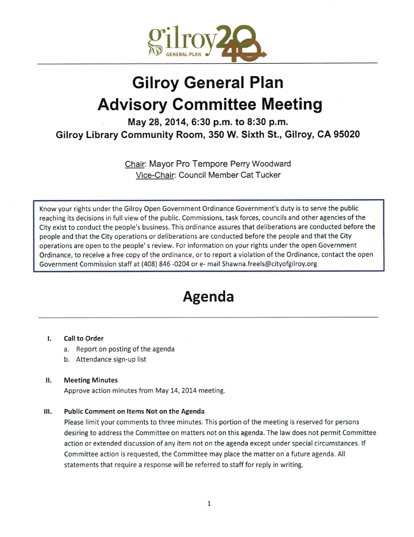

# Gilroy General Plan Advisory Committee Meeting

May 28, 2014, 6:30 p.m. to 8:30 p.m. Gilroy Library Community Room, 350 W. Sixth St., Gilroy, CA 95020

> Chair: Mayor Pro Tempore Perry Woodward Vice-Chair: Council Member Cat Tucker

Know your rights under the Gilroy Open Government Ordinance Government' <sup>s</sup> duty is to serve the public reaching its decisions in full view of the public. Commissions, task forces, councils and other agencies of the City exist to conduct the people's business. This ordinance assures that deliberations are conducted before the people and that the City operations or deliberations are conducted before the people and that the City operations are open to the people' <sup>s</sup> review. For information on your rights under the open Government Ordinance, to receive <sup>a</sup> free copy of the ordinance, or to report <sup>a</sup> violation of the Ordinance, contact the open Government Commission staff at (408) 846 -0204 or e- mail Shawna.freels@cityofgilroy.org

## Agenda

### I. Call to Order

- a. Report on posting of the agenda
- b. Attendance sign-up list

### II. Meeting Minutes

Approve action minutes from May 14, 2014 meeting.

### III. Public Comment on Items Not on the Agenda

Please limit your comments to three minutes. This portion of the meeting is reserved for persons desiring to address the Committee on matters not on this agenda. The law does not permit Committee action or extended discussion of any item not on the agenda except under special circumstances. If Committee action is requested, the Committee may place the matter on a future agenda. All statements that require <sup>a</sup> response will be referred to staff for reply in writing.